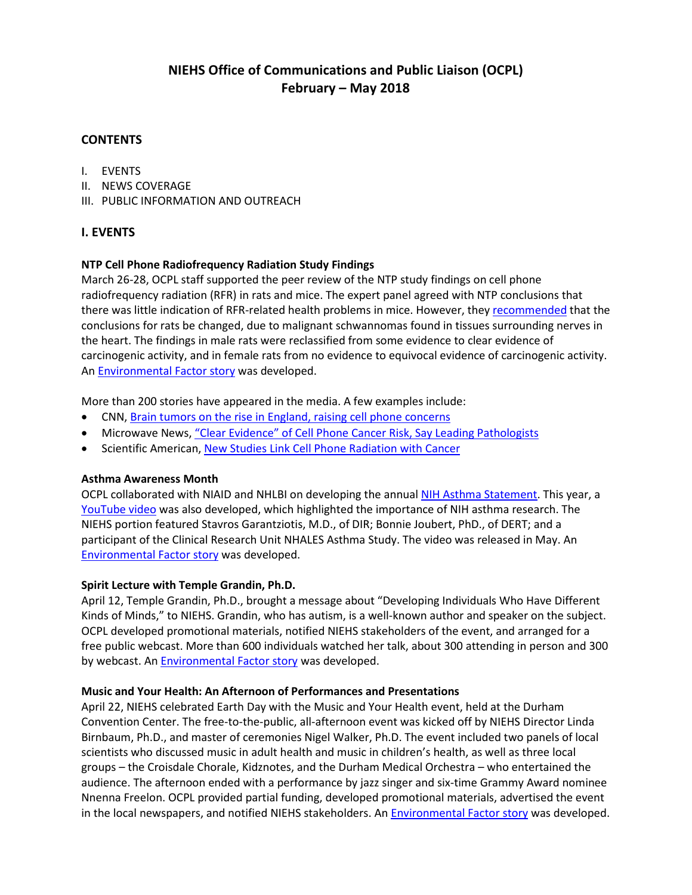# **NIEHS Office of Communications and Public Liaison (OCPL) February – May 2018**

### **CONTENTS**

- I. EVENTS
- II. NEWS COVERAGE
- III. PUBLIC INFORMATION AND OUTREACH

### **I. EVENTS**

#### **NTP Cell Phone Radiofrequency Radiation Study Findings**

March 26-28, OCPL staff supported the peer review of the NTP study findings on cell phone radiofrequency radiation (RFR) in rats and mice. The expert panel agreed with NTP conclusions that there was little indication of RFR-related health problems in mice. However, they [recommended](https://ntp.niehs.nih.gov/ntp/about_ntp/trpanel/2018/march/actions20180328_508.pdf) that the conclusions for rats be changed, due to malignant schwannomas found in tissues surrounding nerves in the heart. The findings in male rats were reclassified from some evidence to clear evidence of carcinogenic activity, and in female rats from no evidence to equivocal evidence of carcinogenic activity. A[n Environmental Factor story](https://factor.niehs.nih.gov/2018/4/feature/feature-2-cell-phone/index.htm) was developed.

More than 200 stories have appeared in the media. A few examples include:

- CNN, [Brain tumors on the rise in England, raising cell phone concerns](https://us.cnn.com/2018/05/02/health/brain-tumors-cell-phones-study/index.html)
- Microwave News, ["Clear Evidence" of Cell Phone Cancer Risk, Say Leading Pathologists](http://microwavenews.com/news-center/ntp-peer-review-sees-tumor-risk)
- Scientific American[, New Studies Link Cell Phone Radiation with Cancer](https://www.scientificamerican.com/article/new-studies-link-cell-phone-radiation-with-cancer/)

#### **Asthma Awareness Month**

OCPL collaborated with NIAID and NHLBI on developing the annua[l NIH Asthma Statement.](https://www.niehs.nih.gov/news/newsroom/releases/2018/may1/index.cfm) This year, a YouTube video was also developed, which highlighted the importance of NIH asthma research. The NIEHS portion featured Stavros Garantziotis, M.D., of DIR; Bonnie Joubert, PhD., of DERT; and a participant of the Clinical Research Unit NHALES Asthma Study. The video was released in May. An [Environmental Factor story](https://factor.niehs.nih.gov/2018/5/science-highlights/asthma/index.htm) was developed.

#### **Spirit Lecture with Temple Grandin, Ph.D.**

April 12, Temple Grandin, Ph.D., brought a message about "Developing Individuals Who Have Different Kinds of Minds," to NIEHS. Grandin, who has autism, is a well-known author and speaker on the subject. OCPL developed promotional materials, notified NIEHS stakeholders of the event, and arranged for a free public webcast. More than 600 individuals watched her talk, about 300 attending in person and 300 by webcast. An [Environmental Factor story](https://factor.niehs.nih.gov/2018/5/feature/feature-3-grandin/index.htm) was developed.

#### **Music and Your Health: An Afternoon of Performances and Presentations**

April 22, NIEHS celebrated Earth Day with the Music and Your Health event, held at the Durham Convention Center. The free-to-the-public, all-afternoon event was kicked off by NIEHS Director Linda Birnbaum, Ph.D., and master of ceremonies Nigel Walker, Ph.D. The event included two panels of local scientists who discussed music in adult health and music in children's health, as well as three local groups – the Croisdale Chorale, Kidznotes, and the Durham Medical Orchestra – who entertained the audience. The afternoon ended with a performance by jazz singer and six-time Grammy Award nominee Nnenna Freelon. OCPL provided partial funding, developed promotional materials, advertised the event in the local newspapers, and notified NIEHS stakeholders. An **Environmental Factor story** was developed.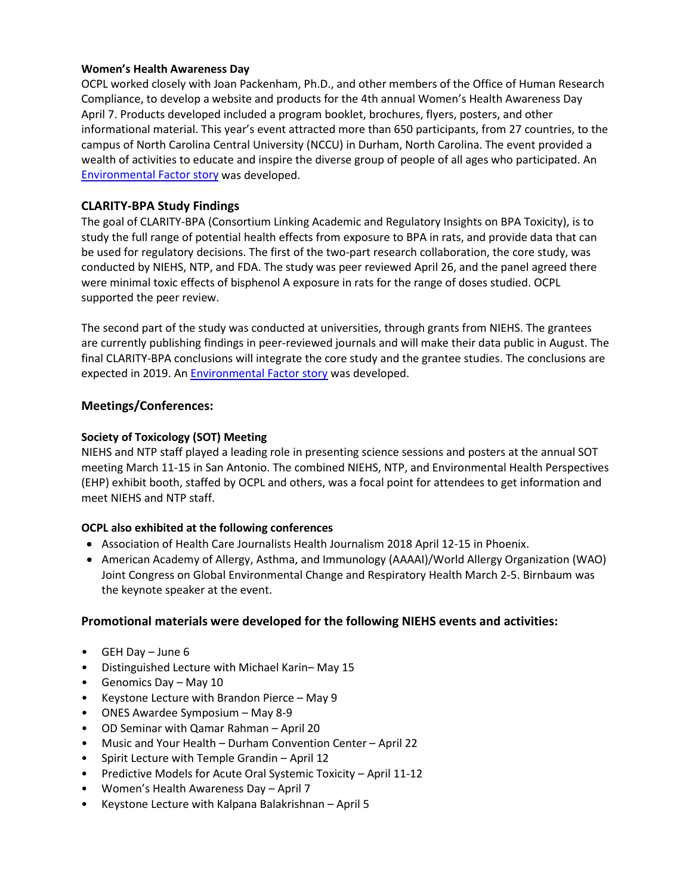#### **Women's Health Awareness Day**

OCPL worked closely with Joan Packenham, Ph.D., and other members of the Office of Human Research Compliance, to develop a website and products for the 4th annual Women's Health Awareness Day April 7. Products developed included a program booklet, brochures, flyers, posters, and other informational material. This year's event attracted more than 650 participants, from 27 countries, to the campus of North Carolina Central University (NCCU) in Durham, North Carolina. The event provided a wealth of activities to educate and inspire the diverse group of people of all ages who participated. An [Environmental Factor story](https://factor.niehs.nih.gov/2018/5/community-impact/womens-health/index.htm) was developed.

### **CLARITY-BPA Study Findings**

The goal of CLARITY-BPA (Consortium Linking Academic and Regulatory Insights on BPA Toxicity), is to study the full range of potential health effects from exposure to BPA in rats, and provide data that can be used for regulatory decisions. The first of the two-part research collaboration, the core study, was conducted by NIEHS, NTP, and FDA. The study was peer reviewed April 26, and the panel agreed there were minimal toxic effects of bisphenol A exposure in rats for the range of doses studied. OCPL supported the peer review.

The second part of the study was conducted at universities, through grants from NIEHS. The grantees are currently publishing findings in peer-reviewed journals and will make their data public in August. The final CLARITY-BPA conclusions will integrate the core study and the grantee studies. The conclusions are expected in 2019. A[n Environmental Factor story](https://factor.niehs.nih.gov/2018/5/science-highlights/bpa/index.htm) was developed.

#### **Meetings/Conferences:**

#### **Society of Toxicology (SOT) Meeting**

NIEHS and NTP staff played a leading role in presenting science sessions and posters at the annual SOT meeting March 11-15 in San Antonio. The combined NIEHS, NTP, and Environmental Health Perspectives (EHP) exhibit booth, staffed by OCPL and others, was a focal point for attendees to get information and meet NIEHS and NTP staff.

#### **OCPL also exhibited at the following conferences**

- Association of Health Care Journalists Health Journalism 2018 April 12-15 in Phoenix.
- American Academy of Allergy, Asthma, and Immunology (AAAAI)/World Allergy Organization (WAO) Joint Congress on Global Environmental Change and Respiratory Health March 2-5. Birnbaum was the keynote speaker at the event.

### **Promotional materials were developed for the following NIEHS events and activities:**

- GEH Day June 6
- Distinguished Lecture with Michael Karin– May 15
- Genomics Day May 10
- Keystone Lecture with Brandon Pierce May 9
- ONES Awardee Symposium May 8-9
- OD Seminar with Qamar Rahman April 20
- Music and Your Health Durham Convention Center April 22
- Spirit Lecture with Temple Grandin April 12
- Predictive Models for Acute Oral Systemic Toxicity April 11-12
- Women's Health Awareness Day April 7
- Keystone Lecture with Kalpana Balakrishnan April 5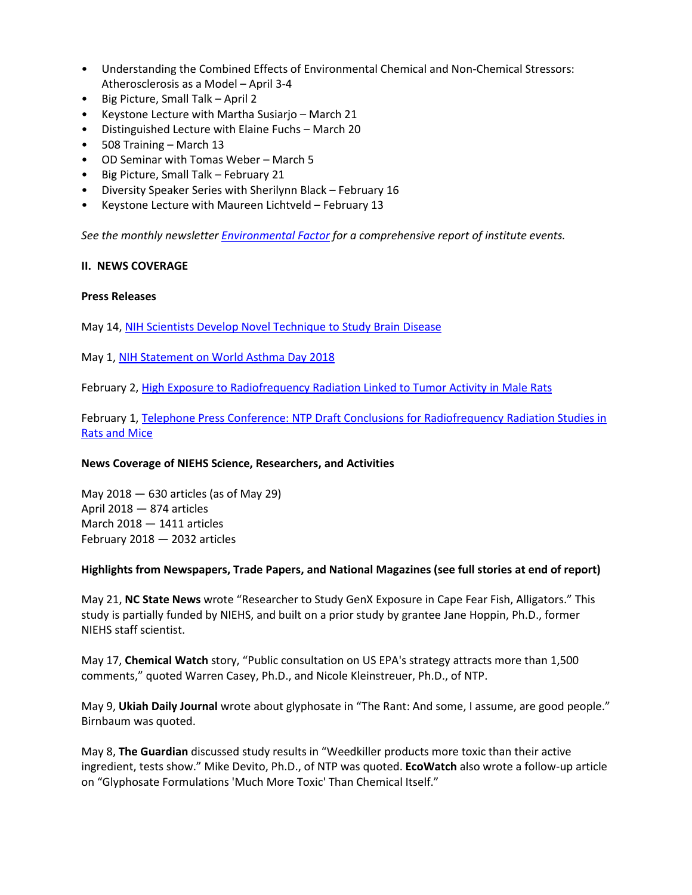- Understanding the Combined Effects of Environmental Chemical and Non-Chemical Stressors: Atherosclerosis as a Model – April 3-4
- Big Picture, Small Talk April 2
- Keystone Lecture with Martha Susiarjo March 21
- Distinguished Lecture with Elaine Fuchs March 20
- 508 Training March 13
- OD Seminar with Tomas Weber March 5
- Big Picture, Small Talk February 21
- Diversity Speaker Series with Sherilynn Black February 16
- Keystone Lecture with Maureen Lichtveld February 13

*See the monthly newsletter [Environmental Factor](https://www.niehs.nih.gov/news/newsletter/2017/5/) for a comprehensive report of institute events.*

#### **II. NEWS COVERAGE**

#### **Press Releases**

May 14[, NIH Scientists Develop Novel Technique to Study Brain Disease](https://www.niehs.nih.gov/news/newsroom/releases/2018/may14/index.cfm)

May 1, [NIH Statement on World Asthma Day 2018](https://www.niehs.nih.gov/news/newsroom/releases/2018/may1/index.cfm)

February 2, [High Exposure to Radiofrequency Radiation Linked to Tumor Activity in Male Rats](https://www.niehs.nih.gov/news/newsroom/releases/2018/february2/index.cfm)

February 1, [Telephone Press Conference: NTP Draft Conclusions for Radiofrequency Radiation Studies in](https://www.niehs.nih.gov/news/newsroom/releases/2018/february1/index.cfm)  [Rats and Mice](https://www.niehs.nih.gov/news/newsroom/releases/2018/february1/index.cfm)

#### **News Coverage of NIEHS Science, Researchers, and Activities**

May 2018 — 630 articles (as of May 29) April 2018 — 874 articles March 2018 — 1411 articles February 2018 — 2032 articles

#### **Highlights from Newspapers, Trade Papers, and National Magazines (see full stories at end of report)**

May 21, **NC State News** wrote "Researcher to Study GenX Exposure in Cape Fear Fish, Alligators." This study is partially funded by NIEHS, and built on a prior study by grantee Jane Hoppin, Ph.D., former NIEHS staff scientist.

May 17, **Chemical Watch** story, "Public consultation on US EPA's strategy attracts more than 1,500 comments," quoted Warren Casey, Ph.D., and Nicole Kleinstreuer, Ph.D., of NTP.

May 9, **Ukiah Daily Journal** wrote about glyphosate in "The Rant: And some, I assume, are good people." Birnbaum was quoted.

May 8, **The Guardian** discussed study results in "Weedkiller products more toxic than their active ingredient, tests show." Mike Devito, Ph.D., of NTP was quoted. **EcoWatch** also wrote a follow-up article on "Glyphosate Formulations 'Much More Toxic' Than Chemical Itself."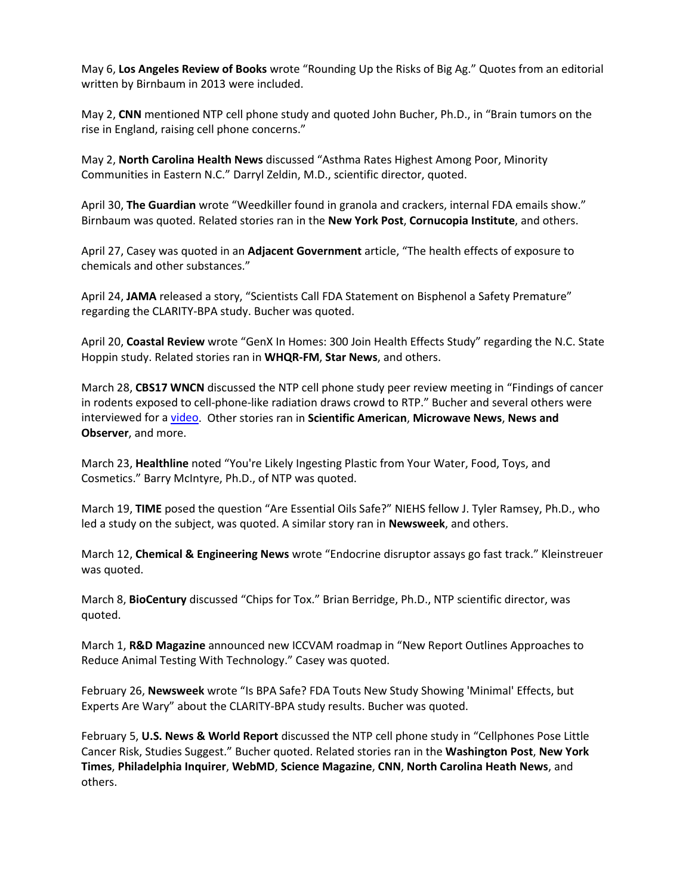May 6, **Los Angeles Review of Books** wrote "Rounding Up the Risks of Big Ag." Quotes from an editorial written by Birnbaum in 2013 were included.

May 2, **CNN** mentioned NTP cell phone study and quoted John Bucher, Ph.D., in "Brain tumors on the rise in England, raising cell phone concerns."

May 2, **North Carolina Health News** discussed "Asthma Rates Highest Among Poor, Minority Communities in Eastern N.C." Darryl Zeldin, M.D., scientific director, quoted.

April 30, **The Guardian** wrote "Weedkiller found in granola and crackers, internal FDA emails show." Birnbaum was quoted. Related stories ran in the **New York Post**, **Cornucopia Institute**, and others.

April 27, Casey was quoted in an **Adjacent Government** article, "The health effects of exposure to chemicals and other substances."

April 24, **JAMA** released a story, "Scientists Call FDA Statement on Bisphenol a Safety Premature" regarding the CLARITY-BPA study. Bucher was quoted.

April 20, **Coastal Review** wrote "GenX In Homes: 300 Join Health Effects Study" regarding the N.C. State Hoppin study. Related stories ran in **WHQR-FM**, **Star News**, and others.

March 28, **CBS17 WNCN** discussed the NTP cell phone study peer review meeting in "Findings of cancer in rodents exposed to cell-phone-like radiation draws crowd to RTP." Bucher and several others were interviewed for a [video.](http://www.cbs17.com/news/findings-of-cancer-in-rodents-exposed-to-cell-phone-like-radiation-draws-crowd-to-rtp/1086391625) Other stories ran in **Scientific American**, **Microwave News**, **News and Observer**, and more.

March 23, **Healthline** noted "You're Likely Ingesting Plastic from Your Water, Food, Toys, and Cosmetics." Barry McIntyre, Ph.D., of NTP was quoted.

March 19, **TIME** posed the question "Are Essential Oils Safe?" NIEHS fellow J. Tyler Ramsey, Ph.D., who led a study on the subject, was quoted. A similar story ran in **Newsweek**, and others.

March 12, **Chemical & Engineering News** wrote "Endocrine disruptor assays go fast track." Kleinstreuer was quoted.

March 8, **BioCentury** discussed "Chips for Tox." Brian Berridge, Ph.D., NTP scientific director, was quoted.

March 1, **R&D Magazine** announced new ICCVAM roadmap in "New Report Outlines Approaches to Reduce Animal Testing With Technology." Casey was quoted.

February 26, **Newsweek** wrote "Is BPA Safe? FDA Touts New Study Showing 'Minimal' Effects, but Experts Are Wary" about the CLARITY-BPA study results. Bucher was quoted.

February 5, **U.S. News & World Report** discussed the NTP cell phone study in "Cellphones Pose Little Cancer Risk, Studies Suggest." Bucher quoted. Related stories ran in the **Washington Post**, **New York Times**, **Philadelphia Inquirer**, **WebMD**, **Science Magazine**, **CNN**, **North Carolina Heath News**, and others.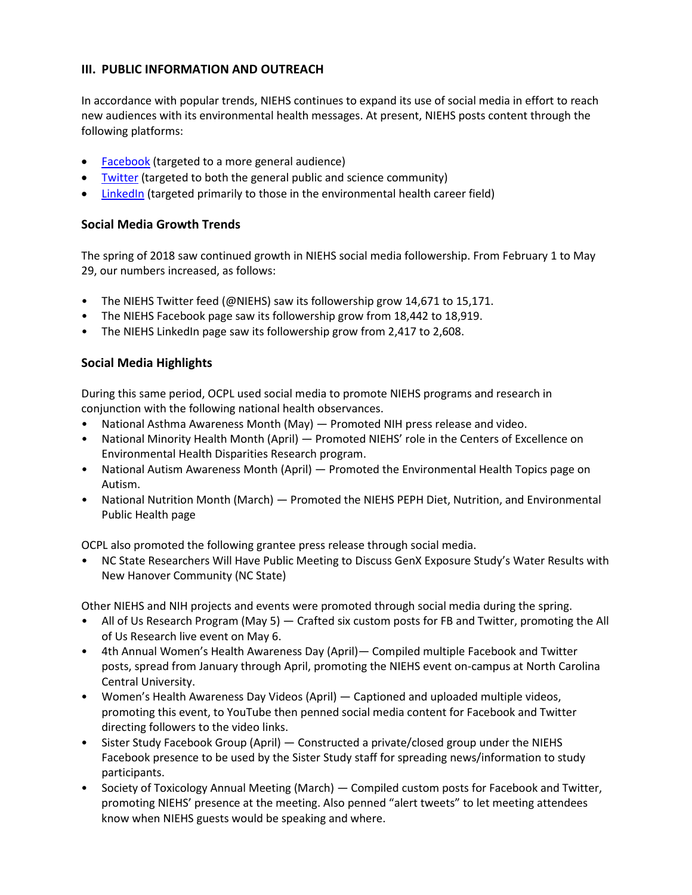### **III. PUBLIC INFORMATION AND OUTREACH**

In accordance with popular trends, NIEHS continues to expand its use of social media in effort to reach new audiences with its environmental health messages. At present, NIEHS posts content through the following platforms:

- [Facebook](https://www.facebook.com/NIH.NIEHS) (targeted to a more general audience)
- [Twitter](https://twitter.com/niehs) (targeted to both the general public and science community)
- [LinkedIn](https://www.linkedin.com/company/national-institute-of-environmental-health-sciences-niehs-) (targeted primarily to those in the environmental health career field)

# **Social Media Growth Trends**

The spring of 2018 saw continued growth in NIEHS social media followership. From February 1 to May 29, our numbers increased, as follows:

- The NIEHS Twitter feed (@NIEHS) saw its followership grow 14,671 to 15,171.
- The NIEHS Facebook page saw its followership grow from 18,442 to 18,919.
- The NIEHS LinkedIn page saw its followership grow from 2,417 to 2,608.

# **Social Media Highlights**

During this same period, OCPL used social media to promote NIEHS programs and research in conjunction with the following national health observances.

- National Asthma Awareness Month (May) Promoted NIH press release and video.
- National Minority Health Month (April) Promoted NIEHS' role in the Centers of Excellence on Environmental Health Disparities Research program.
- National Autism Awareness Month (April) Promoted the Environmental Health Topics page on Autism.
- National Nutrition Month (March) Promoted the NIEHS PEPH Diet, Nutrition, and Environmental Public Health page

OCPL also promoted the following grantee press release through social media.

• NC State Researchers Will Have Public Meeting to Discuss GenX Exposure Study's Water Results with New Hanover Community (NC State)

Other NIEHS and NIH projects and events were promoted through social media during the spring.

- All of Us Research Program (May 5) Crafted six custom posts for FB and Twitter, promoting the All of Us Research live event on May 6.
- 4th Annual Women's Health Awareness Day (April)— Compiled multiple Facebook and Twitter posts, spread from January through April, promoting the NIEHS event on-campus at North Carolina Central University.
- Women's Health Awareness Day Videos (April) Captioned and uploaded multiple videos, promoting this event, to YouTube then penned social media content for Facebook and Twitter directing followers to the video links.
- Sister Study Facebook Group (April) Constructed a private/closed group under the NIEHS Facebook presence to be used by the Sister Study staff for spreading news/information to study participants.
- Society of Toxicology Annual Meeting (March) Compiled custom posts for Facebook and Twitter, promoting NIEHS' presence at the meeting. Also penned "alert tweets" to let meeting attendees know when NIEHS guests would be speaking and where.